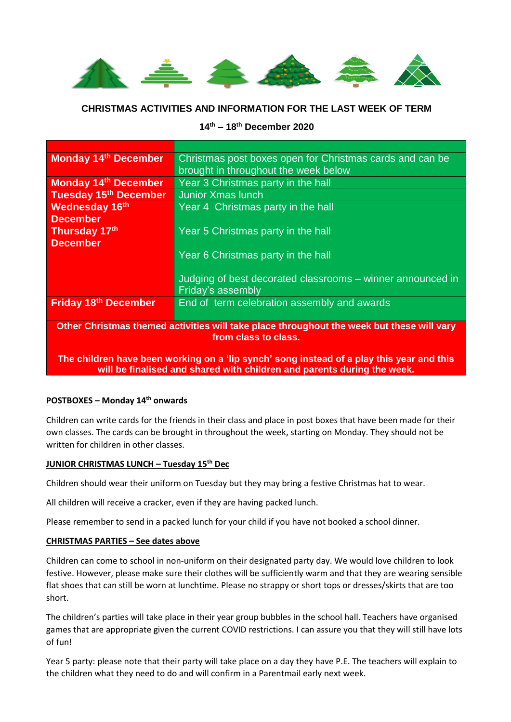

## **CHRISTMAS ACTIVITIES AND INFORMATION FOR THE LAST WEEK OF TERM**

# **14th – 18th December 2020**

| <b>Monday 14th December</b>       | Christmas post boxes open for Christmas cards and can be   |  |  |  |
|-----------------------------------|------------------------------------------------------------|--|--|--|
|                                   | brought in throughout the week below                       |  |  |  |
| <b>Monday 14th December</b>       | Year 3 Christmas party in the hall                         |  |  |  |
| Tuesday 15 <sup>th</sup> December | <b>Junior Xmas lunch</b>                                   |  |  |  |
| <b>Wednesday 16th</b>             | Year 4 Christmas party in the hall                         |  |  |  |
| <b>December</b>                   |                                                            |  |  |  |
| Thursday 17th                     | Year 5 Christmas party in the hall                         |  |  |  |
| <b>December</b>                   |                                                            |  |  |  |
|                                   | Year 6 Christmas party in the hall                         |  |  |  |
|                                   |                                                            |  |  |  |
|                                   | Judging of best decorated classrooms – winner announced in |  |  |  |
|                                   | <b>Friday's assembly</b>                                   |  |  |  |
| <b>Friday 18th December</b>       | End of term celebration assembly and awards                |  |  |  |
|                                   |                                                            |  |  |  |

**Other Christmas themed activities will take place throughout the week but these will vary from class to class.**

**The children have been working on a 'lip synch' song instead of a play this year and this will be finalised and shared with children and parents during the week.**

#### **POSTBOXES – Monday 14th onwards**

Children can write cards for the friends in their class and place in post boxes that have been made for their own classes. The cards can be brought in throughout the week, starting on Monday. They should not be written for children in other classes.

### **JUNIOR CHRISTMAS LUNCH – Tuesday 15th Dec**

Children should wear their uniform on Tuesday but they may bring a festive Christmas hat to wear.

All children will receive a cracker, even if they are having packed lunch.

Please remember to send in a packed lunch for your child if you have not booked a school dinner.

#### **CHRISTMAS PARTIES – See dates above**

Children can come to school in non-uniform on their designated party day. We would love children to look festive. However, please make sure their clothes will be sufficiently warm and that they are wearing sensible flat shoes that can still be worn at lunchtime. Please no strappy or short tops or dresses/skirts that are too short.

The children's parties will take place in their year group bubbles in the school hall. Teachers have organised games that are appropriate given the current COVID restrictions. I can assure you that they will still have lots of fun!

Year 5 party: please note that their party will take place on a day they have P.E. The teachers will explain to the children what they need to do and will confirm in a Parentmail early next week.